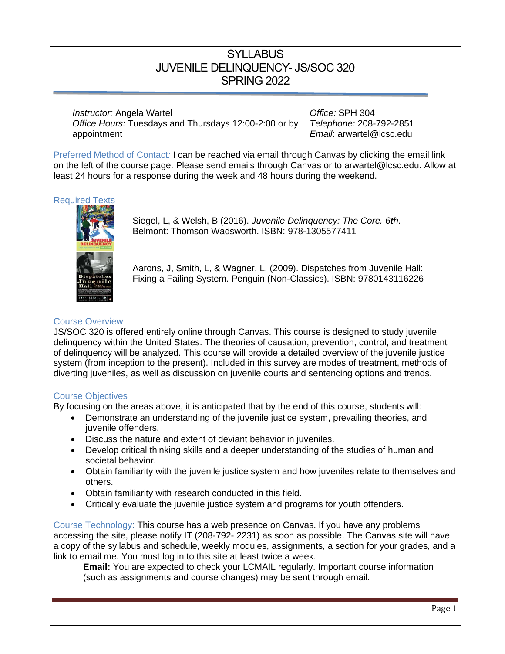## **SYLLABUS** JUVENILE DELINQUENCY- JS/SOC 320 SPRING 2022

*Instructor:* Angela Wartel *Instructor:* Angela Wartel *Office:* **SPH 304** *Office Hours:* Tuesdays and Thursdays 12:00-2:00 or by appointment

*Telephone:* 208-792-2851 *Email*: arwartel@lcsc.edu

Preferred Method of Contact*:* I can be reached via email through Canvas by clicking the email link on the left of the course page. Please send emails through Canvas or to arwartel@lcsc.edu. Allow at least 24 hours for a response during the week and 48 hours during the weekend.

## Required Texts



Siegel, L, & Welsh, B (2016). *Juvenile Delinquency: The Core. 6th*. Belmont: Thomson Wadsworth. ISBN: 978-1305577411

Aarons, J, Smith, L, & Wagner, L. (2009). Dispatches from Juvenile Hall: Fixing a Failing System. Penguin (Non-Classics). ISBN: 9780143116226

## Course Overview

JS/SOC 320 is offered entirely online through Canvas. This course is designed to study juvenile delinquency within the United States. The theories of causation, prevention, control, and treatment of delinquency will be analyzed. This course will provide a detailed overview of the juvenile justice system (from inception to the present). Included in this survey are modes of treatment, methods of diverting juveniles, as well as discussion on juvenile courts and sentencing options and trends.

## Course Objectives

By focusing on the areas above, it is anticipated that by the end of this course, students will:

- Demonstrate an understanding of the juvenile justice system, prevailing theories, and juvenile offenders.
- Discuss the nature and extent of deviant behavior in juveniles.
- Develop critical thinking skills and a deeper understanding of the studies of human and societal behavior.
- Obtain familiarity with the juvenile justice system and how juveniles relate to themselves and others.
- Obtain familiarity with research conducted in this field.
- Critically evaluate the juvenile justice system and programs for youth offenders.

Course Technology: This course has a web presence on Canvas. If you have any problems accessing the site, please notify IT (208-792- 2231) as soon as possible. The Canvas site will have a copy of the syllabus and schedule, weekly modules, assignments, a section for your grades, and a link to email me. You must log in to this site at least twice a week.

**Email:** You are expected to check your LCMAIL regularly. Important course information (such as assignments and course changes) may be sent through email.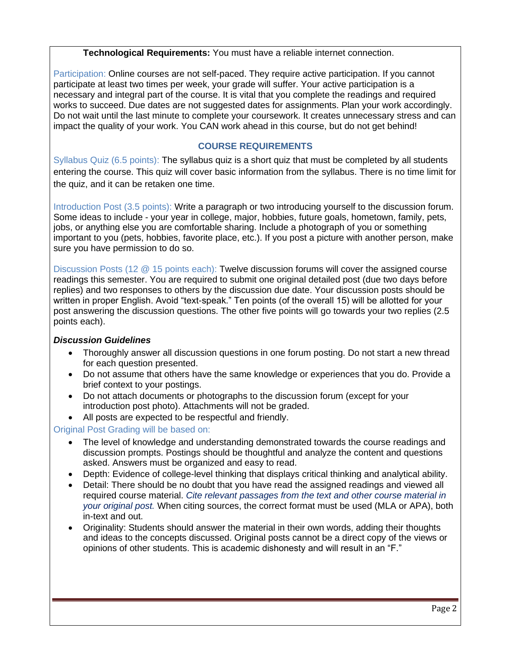## **Technological Requirements:** You must have a reliable internet connection.

Participation: Online courses are not self-paced. They require active participation. If you cannot participate at least two times per week, your grade will suffer. Your active participation is a necessary and integral part of the course. It is vital that you complete the readings and required works to succeed. Due dates are not suggested dates for assignments. Plan your work accordingly. Do not wait until the last minute to complete your coursework. It creates unnecessary stress and can impact the quality of your work. You CAN work ahead in this course, but do not get behind!

## **COURSE REQUIREMENTS**

Syllabus Quiz (6.5 points): The syllabus quiz is a short quiz that must be completed by all students entering the course. This quiz will cover basic information from the syllabus. There is no time limit for the quiz, and it can be retaken one time.

Introduction Post (3.5 points): Write a paragraph or two introducing yourself to the discussion forum. Some ideas to include - your year in college, major, hobbies, future goals, hometown, family, pets, jobs, or anything else you are comfortable sharing. Include a photograph of you or something important to you (pets, hobbies, favorite place, etc.). If you post a picture with another person, make sure you have permission to do so.

Discussion Posts (12 @ 15 points each): Twelve discussion forums will cover the assigned course readings this semester. You are required to submit one original detailed post (due two days before replies) and two responses to others by the discussion due date. Your discussion posts should be written in proper English. Avoid "text-speak." Ten points (of the overall 15) will be allotted for your post answering the discussion questions. The other five points will go towards your two replies (2.5 points each).

## *Discussion Guidelines*

- Thoroughly answer all discussion questions in one forum posting. Do not start a new thread for each question presented.
- Do not assume that others have the same knowledge or experiences that you do. Provide a brief context to your postings.
- Do not attach documents or photographs to the discussion forum (except for your introduction post photo). Attachments will not be graded.
- All posts are expected to be respectful and friendly.

## Original Post Grading will be based on:

- The level of knowledge and understanding demonstrated towards the course readings and discussion prompts. Postings should be thoughtful and analyze the content and questions asked. Answers must be organized and easy to read.
- Depth: Evidence of college-level thinking that displays critical thinking and analytical ability.
- Detail: There should be no doubt that you have read the assigned readings and viewed all required course material. *Cite relevant passages from the text and other course material in your original post.* When citing sources, the correct format must be used (MLA or APA), both in-text and out.
- Originality: Students should answer the material in their own words, adding their thoughts and ideas to the concepts discussed. Original posts cannot be a direct copy of the views or opinions of other students. This is academic dishonesty and will result in an "F."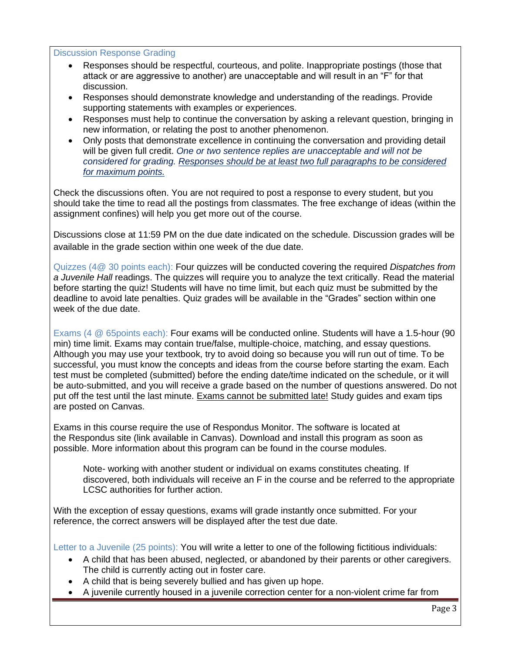#### Discussion Response Grading

- Responses should be respectful, courteous, and polite. Inappropriate postings (those that attack or are aggressive to another) are unacceptable and will result in an "F" for that discussion.
- Responses should demonstrate knowledge and understanding of the readings. Provide supporting statements with examples or experiences.
- Responses must help to continue the conversation by asking a relevant question, bringing in new information, or relating the post to another phenomenon.
- Only posts that demonstrate excellence in continuing the conversation and providing detail will be given full credit. *One or two sentence replies are unacceptable and will not be considered for grading. Responses should be at least two full paragraphs to be considered for maximum points.*

Check the discussions often. You are not required to post a response to every student, but you should take the time to read all the postings from classmates. The free exchange of ideas (within the assignment confines) will help you get more out of the course.

Discussions close at 11:59 PM on the due date indicated on the schedule. Discussion grades will be available in the grade section within one week of the due date.

Quizzes (4@ 30 points each): Four quizzes will be conducted covering the required *Dispatches from a Juvenile Hall* readings. The quizzes will require you to analyze the text critically. Read the material before starting the quiz! Students will have no time limit, but each quiz must be submitted by the deadline to avoid late penalties. Quiz grades will be available in the "Grades" section within one week of the due date.

Exams (4 @ 65points each): Four exams will be conducted online. Students will have a 1.5-hour (90 min) time limit. Exams may contain true/false, multiple-choice, matching, and essay questions. Although you may use your textbook, try to avoid doing so because you will run out of time. To be successful, you must know the concepts and ideas from the course before starting the exam. Each test must be completed (submitted) before the ending date/time indicated on the schedule, or it will be auto-submitted, and you will receive a grade based on the number of questions answered. Do not put off the test until the last minute. Exams cannot be submitted late! Study guides and exam tips are posted on Canvas.

Exams in this course require the use of Respondus Monitor. The software is located at the Respondus site (link available in Canvas). Download and install this program as soon as possible. More information about this program can be found in the course modules.

Note- working with another student or individual on exams constitutes cheating. If discovered, both individuals will receive an F in the course and be referred to the appropriate LCSC authorities for further action.

With the exception of essay questions, exams will grade instantly once submitted. For your reference, the correct answers will be displayed after the test due date.

Letter to a Juvenile (25 points): You will write a letter to one of the following fictitious individuals:

- A child that has been abused, neglected, or abandoned by their parents or other caregivers. The child is currently acting out in foster care.
- A child that is being severely bullied and has given up hope.
- A juvenile currently housed in a juvenile correction center for a non-violent crime far from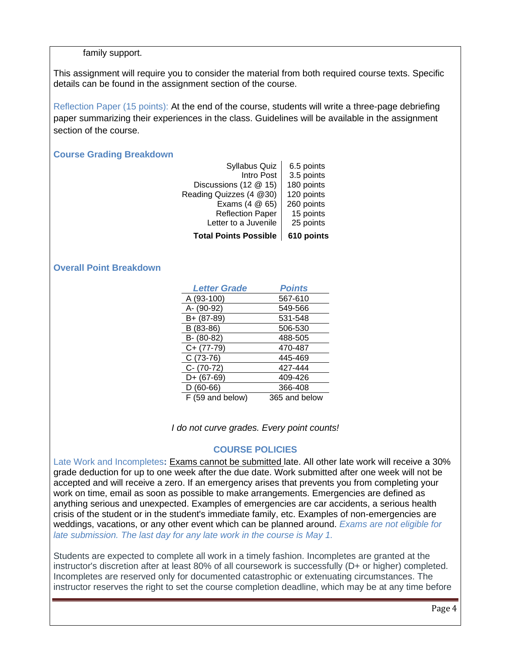#### family support.

This assignment will require you to consider the material from both required course texts. Specific details can be found in the assignment section of the course.

Reflection Paper (15 points): At the end of the course, students will write a three-page debriefing paper summarizing their experiences in the class. Guidelines will be available in the assignment section of the course.

#### **Course Grading Breakdown**

| <b>Total Points Possible</b> | 610 points |
|------------------------------|------------|
| Letter to a Juvenile         | 25 points  |
| <b>Reflection Paper</b>      | 15 points  |
| Exams (4 @ 65)               | 260 points |
| Reading Quizzes (4 @30)      | 120 points |
| Discussions (12 @ 15)        | 180 points |
| Intro Post                   | 3.5 points |
| <b>Syllabus Quiz</b>         | 6.5 points |

## **Overall Point Breakdown**

| <b>Letter Grade</b> | <b>Points</b> |
|---------------------|---------------|
| A (93-100)          | 567-610       |
| A- (90-92)          | 549-566       |
| B+ (87-89)          | 531-548       |
| B (83-86)           | 506-530       |
| B- (80-82)          | 488-505       |
| $C+ (77-79)$        | 470-487       |
| $C(73-76)$          | 445-469       |
| $C - (70-72)$       | 427-444       |
| D+ (67-69)          | 409-426       |
| $D(60-66)$          | 366-408       |
| F (59 and below)    | 365 and below |

*I do not curve grades. Every point counts!*

## **COURSE POLICIES**

Late Work and Incompletes**:** Exams cannot be submitted late. All other late work will receive a 30% grade deduction for up to one week after the due date. Work submitted after one week will not be accepted and will receive a zero. If an emergency arises that prevents you from completing your work on time, email as soon as possible to make arrangements. Emergencies are defined as anything serious and unexpected. Examples of emergencies are car accidents, a serious health crisis of the student or in the student's immediate family, etc. Examples of non-emergencies are weddings, vacations, or any other event which can be planned around. *Exams are not eligible for late submission. The last day for any late work in the course is May 1.*

Students are expected to complete all work in a timely fashion. Incompletes are granted at the instructor's discretion after at least 80% of all coursework is successfully (D+ or higher) completed. Incompletes are reserved only for documented catastrophic or extenuating circumstances. The instructor reserves the right to set the course completion deadline, which may be at any time before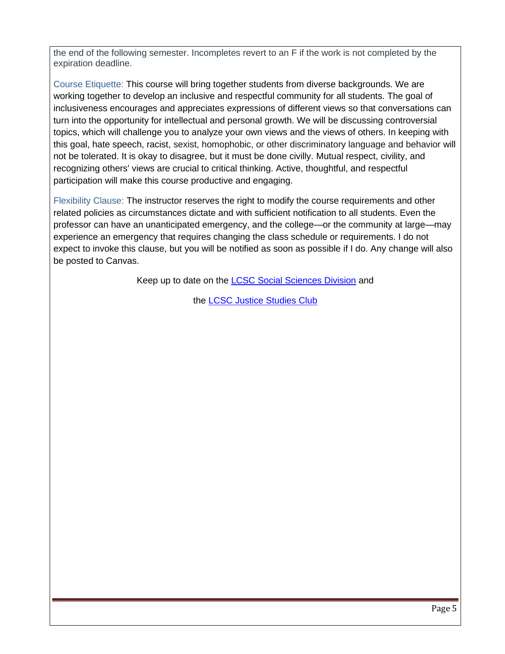the end of the following semester. Incompletes revert to an F if the work is not completed by the expiration deadline.

Course Etiquette: This course will bring together students from diverse backgrounds. We are working together to develop an inclusive and respectful community for all students. The goal of inclusiveness encourages and appreciates expressions of different views so that conversations can turn into the opportunity for intellectual and personal growth. We will be discussing controversial topics, which will challenge you to analyze your own views and the views of others. In keeping with this goal, hate speech, racist, sexist, homophobic, or other discriminatory language and behavior will not be tolerated. It is okay to disagree, but it must be done civilly. Mutual respect, civility, and recognizing others' views are crucial to critical thinking. Active, thoughtful, and respectful participation will make this course productive and engaging.

Flexibility Clause: The instructor reserves the right to modify the course requirements and other related policies as circumstances dictate and with sufficient notification to all students. Even the professor can have an unanticipated emergency, and the college—or the community at large—may experience an emergency that requires changing the class schedule or requirements. I do not expect to invoke this clause, but you will be notified as soon as possible if I do. Any change will also be posted to Canvas.

Keep up to date on the **LCSC Social Sciences Division** and

the [LCSC Justice Studies Club](https://www.facebook.com/LCSCJSClub)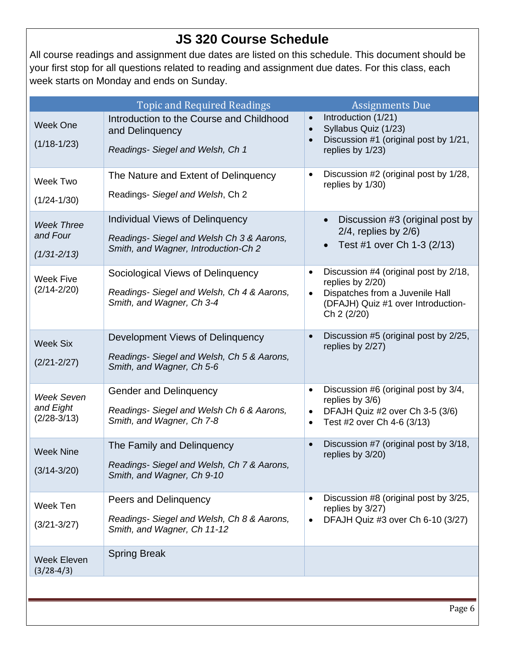# **JS 320 Course Schedule**

All course readings and assignment due dates are listed on this schedule. This document should be your first stop for all questions related to reading and assignment due dates. For this class, each week starts on Monday and ends on Sunday.

|                                                  | <b>Topic and Required Readings</b>                                                                                   | <b>Assignments Due</b>                                                                                                                                          |
|--------------------------------------------------|----------------------------------------------------------------------------------------------------------------------|-----------------------------------------------------------------------------------------------------------------------------------------------------------------|
| <b>Week One</b><br>$(1/18-1/23)$                 | Introduction to the Course and Childhood<br>and Delinguency<br>Readings- Siegel and Welsh, Ch 1                      | Introduction (1/21)<br>$\bullet$<br>Syllabus Quiz (1/23)<br>$\bullet$<br>Discussion #1 (original post by 1/21,<br>replies by 1/23)                              |
| Week Two<br>$(1/24 - 1/30)$                      | The Nature and Extent of Delinguency<br>Readings- Siegel and Welsh, Ch 2                                             | Discussion #2 (original post by 1/28,<br>$\bullet$<br>replies by 1/30)                                                                                          |
| <b>Week Three</b><br>and Four<br>$(1/31 - 2/13)$ | Individual Views of Delinquency<br>Readings- Siegel and Welsh Ch 3 & Aarons,<br>Smith, and Wagner, Introduction-Ch 2 | Discussion #3 (original post by<br>$2/4$ , replies by $2/6$ )<br>Test #1 over Ch 1-3 (2/13)                                                                     |
| <b>Week Five</b><br>$(2/14 - 2/20)$              | Sociological Views of Delinquency<br>Readings- Siegel and Welsh, Ch 4 & Aarons,<br>Smith, and Wagner, Ch 3-4         | Discussion #4 (original post by 2/18,<br>$\bullet$<br>replies by 2/20)<br>Dispatches from a Juvenile Hall<br>(DFAJH) Quiz #1 over Introduction-<br>Ch 2 (2/20)  |
| <b>Week Six</b><br>$(2/21 - 2/27)$               | Development Views of Delinquency<br>Readings- Siegel and Welsh, Ch 5 & Aarons,<br>Smith, and Wagner, Ch 5-6          | Discussion #5 (original post by 2/25,<br>$\bullet$<br>replies by 2/27)                                                                                          |
| <b>Week Seven</b><br>and Eight<br>$(2/28-3/13)$  | <b>Gender and Delinquency</b><br>Readings- Siegel and Welsh Ch 6 & Aarons,<br>Smith, and Wagner, Ch 7-8              | Discussion #6 (original post by 3/4,<br>$\bullet$<br>replies by 3/6)<br>DFAJH Quiz #2 over Ch 3-5 (3/6)<br>$\bullet$<br>Test #2 over Ch 4-6 (3/13)<br>$\bullet$ |
| <b>Week Nine</b><br>$(3/14 - 3/20)$              | The Family and Delinguency<br>Readings- Siegel and Welsh, Ch 7 & Aarons,<br>Smith, and Wagner, Ch 9-10               | Discussion #7 (original post by 3/18,<br>replies by 3/20)                                                                                                       |
| Week Ten<br>$(3/21 - 3/27)$                      | Peers and Delinquency<br>Readings-Siegel and Welsh, Ch 8 & Aarons,<br>Smith, and Wagner, Ch 11-12                    | Discussion #8 (original post by 3/25,<br>$\bullet$<br>replies by 3/27)<br>DFAJH Quiz #3 over Ch 6-10 (3/27)<br>$\bullet$                                        |
| <b>Week Eleven</b><br>$(3/28-4/3)$               | <b>Spring Break</b>                                                                                                  |                                                                                                                                                                 |
|                                                  |                                                                                                                      |                                                                                                                                                                 |
|                                                  |                                                                                                                      | Page 6                                                                                                                                                          |